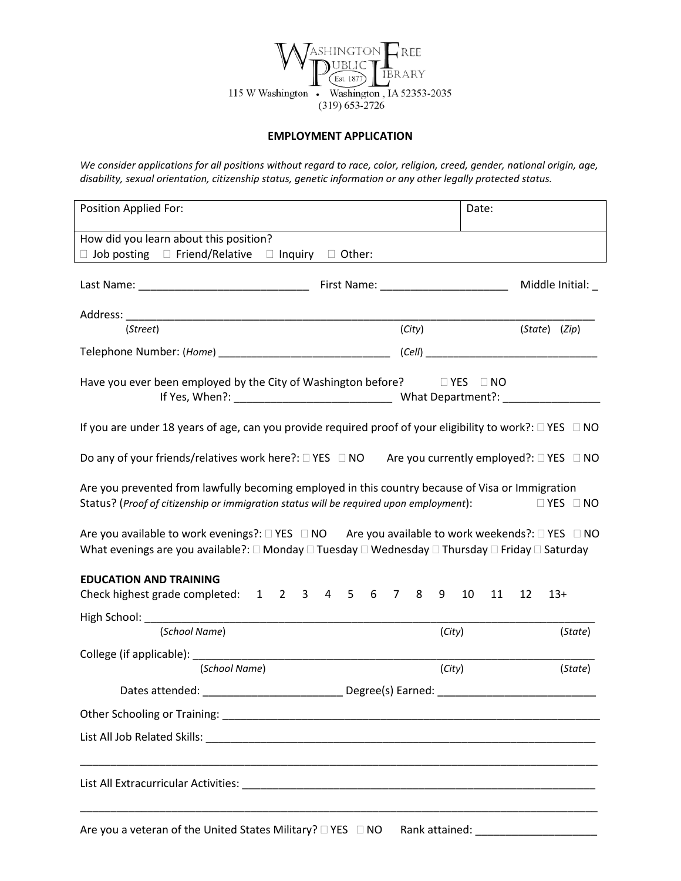

## **EMPLOYMENT APPLICATION**

*We consider applications for all positions without regard to race, color, religion, creed, gender, national origin, age, disability, sexual orientation, citizenship status, genetic information or any other legally protected status.*

| Position Applied For:                                                                                                                                                                                              | Date:                                     |  |  |  |  |  |
|--------------------------------------------------------------------------------------------------------------------------------------------------------------------------------------------------------------------|-------------------------------------------|--|--|--|--|--|
| How did you learn about this position?<br>$\Box$ Job posting $\Box$ Friend/Relative $\Box$ Inquiry $\Box$ Other:                                                                                                   |                                           |  |  |  |  |  |
|                                                                                                                                                                                                                    | Middle Initial: _                         |  |  |  |  |  |
|                                                                                                                                                                                                                    |                                           |  |  |  |  |  |
| (Street)                                                                                                                                                                                                           | (City)<br>(State) (Zip)                   |  |  |  |  |  |
|                                                                                                                                                                                                                    |                                           |  |  |  |  |  |
| Have you ever been employed by the City of Washington before?<br><u>I</u> YES INO                                                                                                                                  |                                           |  |  |  |  |  |
| If you are under 18 years of age, can you provide required proof of your eligibility to work?: $\Box$ YES $\Box$ NO                                                                                                |                                           |  |  |  |  |  |
| Do any of your friends/relatives work here?: □ YES □ NO Are you currently employed?: □ YES □ NO                                                                                                                    |                                           |  |  |  |  |  |
| Are you prevented from lawfully becoming employed in this country because of Visa or Immigration<br>Status? (Proof of citizenship or immigration status will be required upon employment):<br>$\Box$ YES $\Box$ NO |                                           |  |  |  |  |  |
| Are you available to work evenings?: □ YES □ NO Are you available to work weekends?: □ YES □ NO<br>What evenings are you available?: □ Monday □ Tuesday □ Wednesday □ Thursday □ Friday □ Saturday                 |                                           |  |  |  |  |  |
| <b>EDUCATION AND TRAINING</b><br>Check highest grade completed: 1 2 3 4 5 6 7 8 9 10                                                                                                                               | 11<br>12<br>$13+$                         |  |  |  |  |  |
| High School: ____________<br>(School Name)                                                                                                                                                                         |                                           |  |  |  |  |  |
|                                                                                                                                                                                                                    | (City)<br>(State)                         |  |  |  |  |  |
| College (if applicable): _______<br>(School Name)                                                                                                                                                                  | (City)<br>(State)                         |  |  |  |  |  |
| Dates attended:                                                                                                                                                                                                    | Degree(s) Earned:                         |  |  |  |  |  |
|                                                                                                                                                                                                                    |                                           |  |  |  |  |  |
|                                                                                                                                                                                                                    |                                           |  |  |  |  |  |
|                                                                                                                                                                                                                    |                                           |  |  |  |  |  |
| Are you a veteran of the United States Military? $\square$ YES $\square$ NO                                                                                                                                        | Rank attained: __________________________ |  |  |  |  |  |